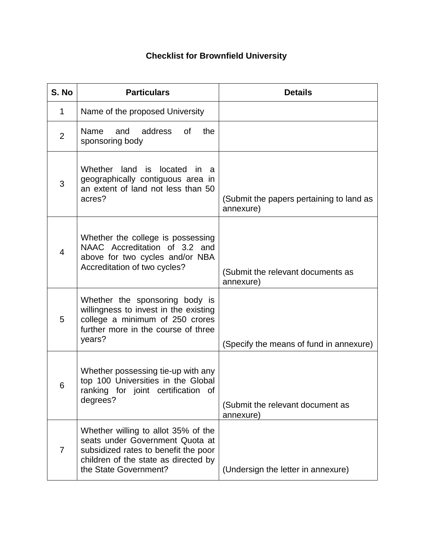## **Checklist for Brownfield University**

| S. No          | <b>Particulars</b>                                                                                                                                                              | <b>Details</b>                                        |
|----------------|---------------------------------------------------------------------------------------------------------------------------------------------------------------------------------|-------------------------------------------------------|
| 1              | Name of the proposed University                                                                                                                                                 |                                                       |
| $\overline{2}$ | Name<br>and<br>address<br>the<br>0f<br>sponsoring body                                                                                                                          |                                                       |
| 3              | Whether<br>land<br>is<br>located<br>in a<br>geographically contiguous area in<br>an extent of land not less than 50<br>acres?                                                   | (Submit the papers pertaining to land as<br>annexure) |
| $\overline{4}$ | Whether the college is possessing<br>NAAC Accreditation of 3.2 and<br>above for two cycles and/or NBA<br>Accreditation of two cycles?                                           | (Submit the relevant documents as<br>annexure)        |
| 5              | Whether the sponsoring body is<br>willingness to invest in the existing<br>college a minimum of 250 crores<br>further more in the course of three<br>years?                     | (Specify the means of fund in annexure)               |
| 6              | Whether possessing tie-up with any<br>top 100 Universities in the Global<br>ranking for joint certification of<br>degrees?                                                      | (Submit the relevant document as<br>annexure)         |
| $\overline{7}$ | Whether willing to allot 35% of the<br>seats under Government Quota at<br>subsidized rates to benefit the poor<br>children of the state as directed by<br>the State Government? | (Undersign the letter in annexure)                    |